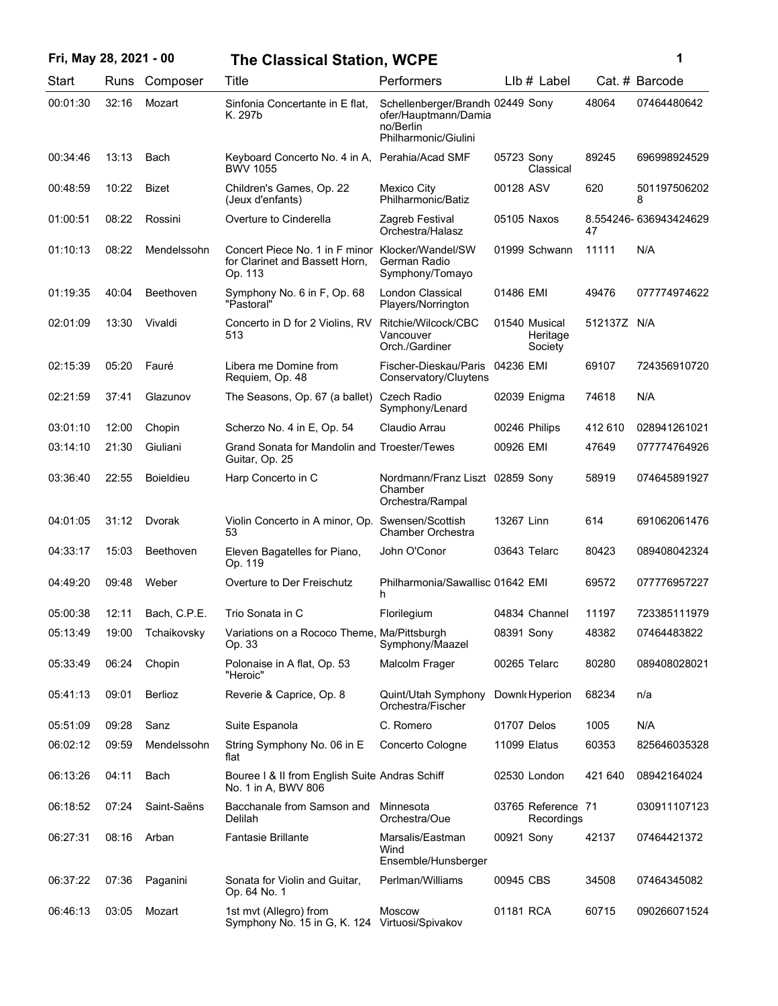|  |  |  | Fri, May 28, 2021 - 00 |  |  |  |
|--|--|--|------------------------|--|--|--|
|--|--|--|------------------------|--|--|--|

## **Fri, May 28, 2021 - 00 1 The Classical Station, WCPE**

|    | ï |  |
|----|---|--|
| ۰. |   |  |
|    |   |  |
|    |   |  |

| Start    | Runs  | Composer         | Title                                                                                         | Performers                                                                                    | Llb # Label                          |             | Cat. # Barcode        |
|----------|-------|------------------|-----------------------------------------------------------------------------------------------|-----------------------------------------------------------------------------------------------|--------------------------------------|-------------|-----------------------|
| 00:01:30 | 32:16 | Mozart           | Sinfonia Concertante in E flat,<br>K. 297b                                                    | Schellenberger/Brandh 02449 Sony<br>ofer/Hauptmann/Damia<br>no/Berlin<br>Philharmonic/Giulini |                                      | 48064       | 07464480642           |
| 00:34:46 | 13:13 | Bach             | Keyboard Concerto No. 4 in A,<br><b>BWV 1055</b>                                              | Perahia/Acad SMF                                                                              | 05723 Sony<br>Classical              | 89245       | 696998924529          |
| 00:48:59 | 10:22 | <b>Bizet</b>     | Children's Games, Op. 22<br>(Jeux d'enfants)                                                  | Mexico City<br>Philharmonic/Batiz                                                             | 00128 ASV                            | 620         | 501197506202<br>8     |
| 01:00:51 | 08:22 | Rossini          | Overture to Cinderella                                                                        | Zagreb Festival<br>Orchestra/Halasz                                                           | 05105 Naxos                          | 47          | 8.554246-636943424629 |
| 01:10:13 | 08:22 | Mendelssohn      | Concert Piece No. 1 in F minor Klocker/Wandel/SW<br>for Clarinet and Bassett Horn,<br>Op. 113 | German Radio<br>Symphony/Tomayo                                                               | 01999 Schwann                        | 11111       | N/A                   |
| 01:19:35 | 40:04 | Beethoven        | Symphony No. 6 in F, Op. 68<br>"Pastoral"                                                     | London Classical<br>Players/Norrington                                                        | 01486 EMI                            | 49476       | 077774974622          |
| 02:01:09 | 13:30 | Vivaldi          | Concerto in D for 2 Violins, RV<br>513                                                        | Ritchie/Wilcock/CBC<br>Vancouver<br>Orch./Gardiner                                            | 01540 Musical<br>Heritage<br>Society | 512137Z N/A |                       |
| 02:15:39 | 05:20 | Fauré            | Libera me Domine from<br>Requiem, Op. 48                                                      | Fischer-Dieskau/Paris<br>Conservatory/Cluytens                                                | 04236 EMI                            | 69107       | 724356910720          |
| 02:21:59 | 37:41 | Glazunov         | The Seasons, Op. 67 (a ballet)                                                                | Czech Radio<br>Symphony/Lenard                                                                | 02039 Enigma                         | 74618       | N/A                   |
| 03:01:10 | 12:00 | Chopin           | Scherzo No. 4 in E, Op. 54                                                                    | Claudio Arrau                                                                                 | 00246 Philips                        | 412 610     | 028941261021          |
| 03:14:10 | 21:30 | Giuliani         | Grand Sonata for Mandolin and Troester/Tewes<br>Guitar, Op. 25                                |                                                                                               | 00926 EMI                            | 47649       | 077774764926          |
| 03:36:40 | 22:55 | <b>Boieldieu</b> | Harp Concerto in C                                                                            | Nordmann/Franz Liszt 02859 Sony<br>Chamber<br>Orchestra/Rampal                                |                                      | 58919       | 074645891927          |
| 04:01:05 | 31:12 | Dvorak           | Violin Concerto in A minor, Op. Swensen/Scottish<br>53                                        | Chamber Orchestra                                                                             | 13267 Linn                           | 614         | 691062061476          |
| 04:33:17 | 15:03 | Beethoven        | Eleven Bagatelles for Piano,<br>Op. 119                                                       | John O'Conor                                                                                  | 03643 Telarc                         | 80423       | 089408042324          |
| 04:49:20 | 09:48 | Weber            | Overture to Der Freischutz                                                                    | Philharmonia/Sawallisc 01642 EMI<br>h                                                         |                                      | 69572       | 077776957227          |
| 05:00:38 | 12:11 | Bach, C.P.E.     | Trio Sonata in C                                                                              | Florilegium                                                                                   | 04834 Channel                        | 11197       | 723385111979          |
| 05:13:49 | 19:00 | Tchaikovsky      | Variations on a Rococo Theme, Ma/Pittsburgh<br>Op. 33                                         | Symphony/Maazel                                                                               | 08391 Sony                           | 48382       | 07464483822           |
| 05:33:49 | 06:24 | Chopin           | Polonaise in A flat, Op. 53<br>"Heroic"                                                       | Malcolm Frager                                                                                | 00265 Telarc                         | 80280       | 089408028021          |
| 05:41:13 | 09:01 | Berlioz          | Reverie & Caprice, Op. 8                                                                      | Quint/Utah Symphony<br>Orchestra/Fischer                                                      | Downk Hyperion                       | 68234       | n/a                   |
| 05:51:09 | 09:28 | Sanz             | Suite Espanola                                                                                | C. Romero                                                                                     | 01707 Delos                          | 1005        | N/A                   |
| 06:02:12 | 09:59 | Mendelssohn      | String Symphony No. 06 in E<br>flat                                                           | Concerto Cologne                                                                              | 11099 Elatus                         | 60353       | 825646035328          |
| 06:13:26 | 04:11 | Bach             | Bouree I & II from English Suite Andras Schiff<br>No. 1 in A, BWV 806                         |                                                                                               | 02530 London                         | 421 640     | 08942164024           |
| 06:18:52 | 07:24 | Saint-Saëns      | Bacchanale from Samson and<br>Delilah                                                         | Minnesota<br>Orchestra/Oue                                                                    | 03765 Reference 71<br>Recordings     |             | 030911107123          |
| 06:27:31 | 08:16 | Arban            | <b>Fantasie Brillante</b>                                                                     | Marsalis/Eastman<br>Wind<br>Ensemble/Hunsberger                                               | 00921 Sony                           | 42137       | 07464421372           |
| 06:37:22 | 07:36 | Paganini         | Sonata for Violin and Guitar,<br>Op. 64 No. 1                                                 | Perlman/Williams                                                                              | 00945 CBS                            | 34508       | 07464345082           |
| 06:46:13 | 03:05 | Mozart           | 1st mvt (Allegro) from<br>Symphony No. 15 in G, K. 124 Virtuosi/Spivakov                      | Moscow                                                                                        | 01181 RCA                            | 60715       | 090266071524          |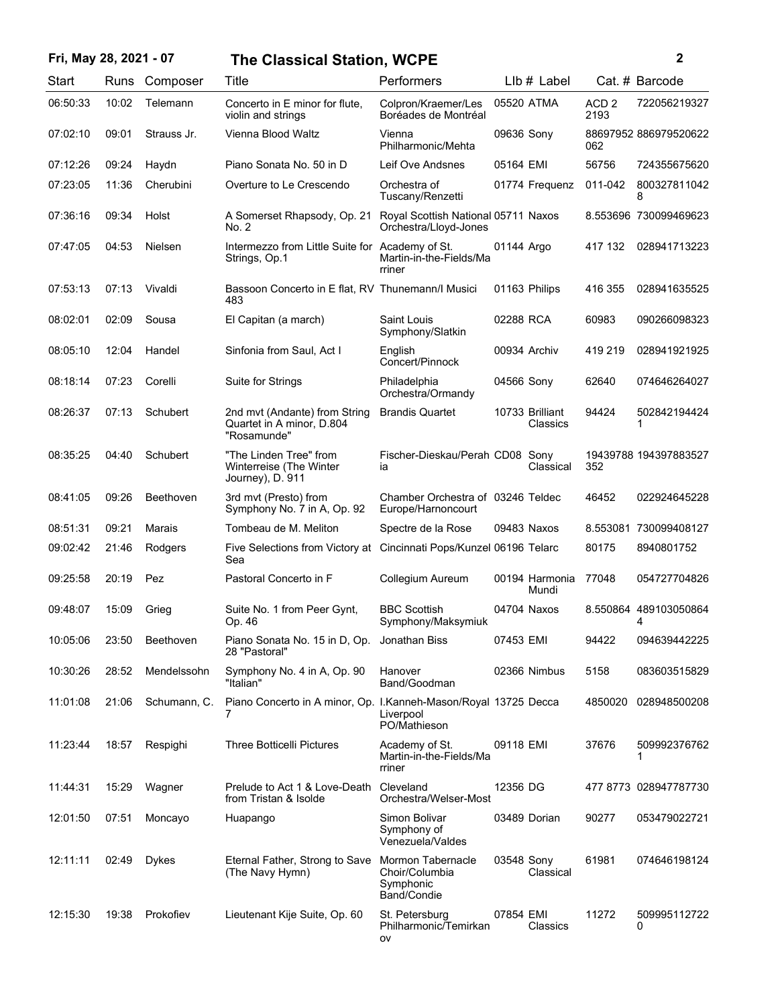## **Fri, May 28, 2021 - 07 2 The Classical Station, WCPE**

| Start    | Runs  | Composer         | Title                                                                      | Performers                                                      |                 | LIb # Label |                          | Cat. # Barcode             |
|----------|-------|------------------|----------------------------------------------------------------------------|-----------------------------------------------------------------|-----------------|-------------|--------------------------|----------------------------|
| 06:50:33 | 10:02 | Telemann         | Concerto in E minor for flute,<br>violin and strings                       | Colpron/Kraemer/Les<br>Boréades de Montréal                     | 05520 ATMA      |             | ACD <sub>2</sub><br>2193 | 722056219327               |
| 07:02:10 | 09:01 | Strauss Jr.      | Vienna Blood Waltz                                                         | Vienna<br>Philharmonic/Mehta                                    | 09636 Sony      |             | 062                      | 88697952 886979520622      |
| 07:12:26 | 09:24 | Haydn            | Piano Sonata No. 50 in D                                                   | Leif Ove Andsnes                                                | 05164 EMI       |             | 56756                    | 724355675620               |
| 07:23:05 | 11:36 | Cherubini        | Overture to Le Crescendo                                                   | Orchestra of<br>Tuscany/Renzetti                                | 01774 Frequenz  |             | 011-042                  | 800327811042               |
| 07:36:16 | 09:34 | Holst            | A Somerset Rhapsody, Op. 21<br>No. 2                                       | Royal Scottish National 05711 Naxos<br>Orchestra/Lloyd-Jones    |                 |             |                          | 8.553696 730099469623      |
| 07:47:05 | 04:53 | Nielsen          | Intermezzo from Little Suite for Academy of St.<br>Strings, Op.1           | Martin-in-the-Fields/Ma<br>rriner                               | 01144 Argo      |             | 417 132                  | 028941713223               |
| 07:53:13 | 07:13 | Vivaldi          | Bassoon Concerto in E flat, RV Thunemann/I Musici<br>483                   |                                                                 | 01163 Philips   |             | 416 355                  | 028941635525               |
| 08:02:01 | 02:09 | Sousa            | El Capitan (a march)                                                       | Saint Louis<br>Symphony/Slatkin                                 | 02288 RCA       |             | 60983                    | 090266098323               |
| 08:05:10 | 12:04 | Handel           | Sinfonia from Saul, Act I                                                  | English<br>Concert/Pinnock                                      | 00934 Archiv    |             | 419 219                  | 028941921925               |
| 08:18:14 | 07:23 | Corelli          | Suite for Strings                                                          | Philadelphia<br>Orchestra/Ormandy                               | 04566 Sony      |             | 62640                    | 074646264027               |
| 08:26:37 | 07:13 | Schubert         | 2nd mvt (Andante) from String<br>Quartet in A minor, D.804<br>"Rosamunde"  | <b>Brandis Quartet</b>                                          | 10733 Brilliant | Classics    | 94424                    | 502842194424<br>1          |
| 08:35:25 | 04:40 | Schubert         | "The Linden Tree" from<br>Winterreise (The Winter<br>Journey), D. 911      | Fischer-Dieskau/Perah CD08 Sony<br>ia                           |                 | Classical   | 352                      | 19439788 194397883527      |
| 08:41:05 | 09:26 | Beethoven        | 3rd mvt (Presto) from<br>Symphony No. 7 in A, Op. 92                       | Chamber Orchestra of 03246 Teldec<br>Europe/Harnoncourt         |                 |             | 46452                    | 022924645228               |
| 08:51:31 | 09:21 | Marais           | Tombeau de M. Meliton                                                      | Spectre de la Rose                                              | 09483 Naxos     |             |                          | 8.553081 730099408127      |
| 09:02:42 | 21:46 | Rodgers          | Five Selections from Victory at Cincinnati Pops/Kunzel 06196 Telarc<br>Sea |                                                                 |                 |             | 80175                    | 8940801752                 |
| 09:25:58 | 20:19 | Pez              | Pastoral Concerto in F                                                     | Collegium Aureum                                                | 00194 Harmonia  | Mundi       | 77048                    | 054727704826               |
| 09:48:07 | 15:09 | Grieg            | Suite No. 1 from Peer Gynt,<br>Op. 46                                      | <b>BBC Scottish</b><br>Symphony/Maksymiuk                       | 04704 Naxos     |             |                          | 8.550864 489103050864<br>4 |
| 10:05:06 | 23:50 | <b>Beethoven</b> | Piano Sonata No. 15 in D, Op. Jonathan Biss<br>28 "Pastoral"               |                                                                 | 07453 EMI       |             | 94422                    | 094639442225               |
| 10:30:26 | 28:52 | Mendelssohn      | Symphony No. 4 in A, Op. 90<br>"Italian"                                   | Hanover<br>Band/Goodman                                         | 02366 Nimbus    |             | 5158                     | 083603515829               |
| 11:01:08 | 21:06 | Schumann, C.     | Piano Concerto in A minor, Op. I.Kanneh-Mason/Royal 13725 Decca<br>7       | Liverpool<br>PO/Mathieson                                       |                 |             | 4850020                  | 028948500208               |
| 11:23:44 | 18:57 | Respighi         | <b>Three Botticelli Pictures</b>                                           | Academy of St.<br>Martin-in-the-Fields/Ma<br>rriner             | 09118 EMI       |             | 37676                    | 509992376762<br>1          |
| 11:44:31 | 15:29 | Wagner           | Prelude to Act 1 & Love-Death<br>from Tristan & Isolde                     | Cleveland<br>Orchestra/Welser-Most                              | 12356 DG        |             |                          | 477 8773 028947787730      |
| 12:01:50 | 07:51 | Moncayo          | Huapango                                                                   | Simon Bolivar<br>Symphony of<br>Venezuela/Valdes                | 03489 Dorian    |             | 90277                    | 053479022721               |
| 12:11:11 | 02:49 | Dykes            | Eternal Father, Strong to Save<br>(The Navy Hymn)                          | Mormon Tabernacle<br>Choir/Columbia<br>Symphonic<br>Band/Condie | 03548 Sony      | Classical   | 61981                    | 074646198124               |
| 12:15:30 | 19:38 | Prokofiev        | Lieutenant Kije Suite, Op. 60                                              | St. Petersburg<br>Philharmonic/Temirkan<br>ov                   | 07854 EMI       | Classics    | 11272                    | 509995112722<br>0          |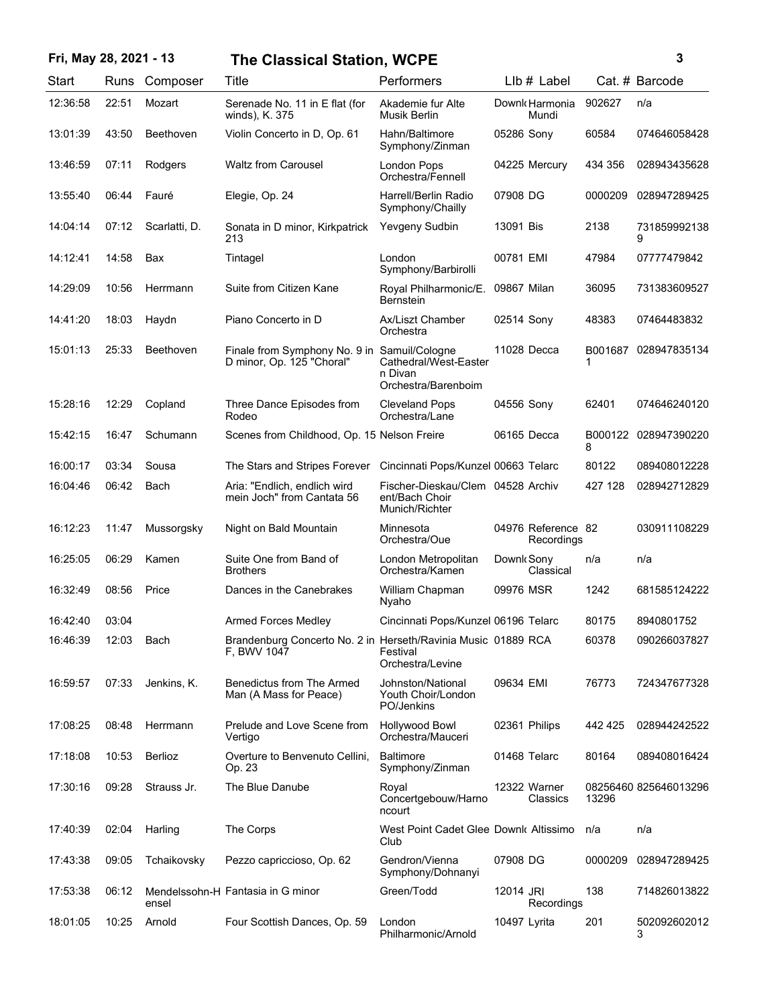## **Fri, May 28, 2021 - 13 3 The Classical Station, WCPE**

| ٦ |  |
|---|--|
|   |  |
|   |  |
|   |  |

| Start    | Runs  | Composer      | Title                                                                        | Performers                                                            | $L$ lb $#$ Label                 |         | Cat. # Barcode        |
|----------|-------|---------------|------------------------------------------------------------------------------|-----------------------------------------------------------------------|----------------------------------|---------|-----------------------|
| 12:36:58 | 22:51 | Mozart        | Serenade No. 11 in E flat (for<br>winds), K. 375                             | Akademie fur Alte<br>Musik Berlin                                     | Downk Harmonia<br>Mundi          | 902627  | n/a                   |
| 13:01:39 | 43:50 | Beethoven     | Violin Concerto in D, Op. 61                                                 | Hahn/Baltimore<br>Symphony/Zinman                                     | 05286 Sony                       | 60584   | 074646058428          |
| 13:46:59 | 07:11 | Rodgers       | <b>Waltz from Carousel</b>                                                   | London Pops<br>Orchestra/Fennell                                      | 04225 Mercury                    | 434 356 | 028943435628          |
| 13:55:40 | 06:44 | Fauré         | Elegie, Op. 24                                                               | Harrell/Berlin Radio<br>Symphony/Chailly                              | 07908 DG                         | 0000209 | 028947289425          |
| 14:04:14 | 07:12 | Scarlatti, D. | Sonata in D minor, Kirkpatrick<br>213                                        | Yevgeny Sudbin                                                        | 13091 Bis                        | 2138    | 731859992138<br>9     |
| 14:12:41 | 14:58 | Bax           | Tintagel                                                                     | London<br>Symphony/Barbirolli                                         | 00781 EMI                        | 47984   | 07777479842           |
| 14:29:09 | 10:56 | Herrmann      | Suite from Citizen Kane                                                      | Royal Philharmonic/E.<br>Bernstein                                    | 09867 Milan                      | 36095   | 731383609527          |
| 14:41:20 | 18:03 | Haydn         | Piano Concerto in D                                                          | Ax/Liszt Chamber<br>Orchestra                                         | 02514 Sony                       | 48383   | 07464483832           |
| 15:01:13 | 25:33 | Beethoven     | Finale from Symphony No. 9 in Samuil/Cologne<br>D minor, Op. 125 "Choral"    | Cathedral/West-Easter<br>n Divan<br>Orchestra/Barenboim               | 11028 Decca                      |         | B001687 028947835134  |
| 15:28:16 | 12:29 | Copland       | Three Dance Episodes from<br>Rodeo                                           | <b>Cleveland Pops</b><br>Orchestra/Lane                               | 04556 Sony                       | 62401   | 074646240120          |
| 15:42:15 | 16:47 | Schumann      | Scenes from Childhood, Op. 15 Nelson Freire                                  |                                                                       | 06165 Decca                      | 8       | B000122 028947390220  |
| 16:00:17 | 03:34 | Sousa         | The Stars and Stripes Forever                                                | Cincinnati Pops/Kunzel 00663 Telarc                                   |                                  | 80122   | 089408012228          |
| 16:04:46 | 06:42 | Bach          | Aria: "Endlich, endlich wird<br>mein Joch" from Cantata 56                   | Fischer-Dieskau/Clem 04528 Archiv<br>ent/Bach Choir<br>Munich/Richter |                                  | 427 128 | 028942712829          |
| 16:12:23 | 11:47 | Mussorgsky    | Night on Bald Mountain                                                       | Minnesota<br>Orchestra/Oue                                            | 04976 Reference 82<br>Recordings |         | 030911108229          |
| 16:25:05 | 06:29 | Kamen         | Suite One from Band of<br><b>Brothers</b>                                    | London Metropolitan<br>Orchestra/Kamen                                | Downk Sony<br>Classical          | n/a     | n/a                   |
| 16:32:49 | 08:56 | Price         | Dances in the Canebrakes                                                     | William Chapman<br>Nyaho                                              | 09976 MSR                        | 1242    | 681585124222          |
| 16:42:40 | 03:04 |               | <b>Armed Forces Medley</b>                                                   | Cincinnati Pops/Kunzel 06196 Telarc                                   |                                  | 80175   | 8940801752            |
| 16:46:39 | 12:03 | Bach          | Brandenburg Concerto No. 2 in Herseth/Ravinia Music 01889 RCA<br>F. BWV 1047 | Festival<br>Orchestra/Levine                                          |                                  | 60378   | 090266037827          |
| 16:59:57 | 07:33 | Jenkins, K.   | Benedictus from The Armed<br>Man (A Mass for Peace)                          | Johnston/National<br>Youth Choir/London<br>PO/Jenkins                 | 09634 EMI                        | 76773   | 724347677328          |
| 17:08:25 | 08:48 | Herrmann      | Prelude and Love Scene from<br>Vertigo                                       | <b>Hollywood Bowl</b><br>Orchestra/Mauceri                            | 02361 Philips                    | 442 425 | 028944242522          |
| 17:18:08 | 10:53 | Berlioz       | Overture to Benvenuto Cellini,<br>Op. 23                                     | <b>Baltimore</b><br>Symphony/Zinman                                   | 01468 Telarc                     | 80164   | 089408016424          |
| 17:30:16 | 09:28 | Strauss Jr.   | The Blue Danube                                                              | Royal<br>Concertgebouw/Harno<br>ncourt                                | 12322 Warner<br>Classics         | 13296   | 08256460 825646013296 |
| 17:40:39 | 02:04 | Harling       | The Corps                                                                    | West Point Cadet Glee Downk Altissimo<br>Club                         |                                  | n/a     | n/a                   |
| 17:43:38 | 09:05 | Tchaikovsky   | Pezzo capriccioso, Op. 62                                                    | Gendron/Vienna<br>Symphony/Dohnanyi                                   | 07908 DG                         | 0000209 | 028947289425          |
| 17:53:38 | 06:12 | ensel         | Mendelssohn-H Fantasia in G minor                                            | Green/Todd                                                            | 12014 JRI<br>Recordings          | 138     | 714826013822          |
| 18:01:05 | 10:25 | Arnold        | Four Scottish Dances, Op. 59                                                 | London<br>Philharmonic/Arnold                                         | 10497 Lyrita                     | 201     | 502092602012<br>3     |